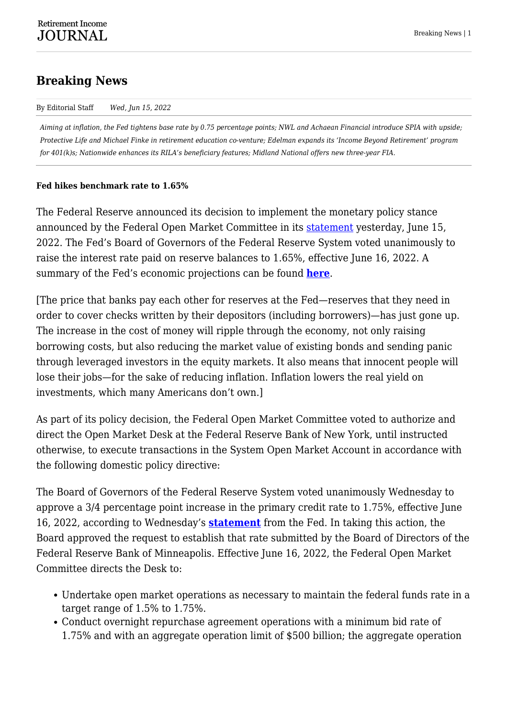# **Breaking News**

#### By Editorial Staff *Wed, Jun 15, 2022*

*Aiming at inflation, the Fed tightens base rate by 0.75 percentage points; NWL and Achaean Financial introduce SPIA with upside; Protective Life and Michael Finke in retirement education co-venture; Edelman expands its 'Income Beyond Retirement' program for 401(k)s; Nationwide enhances its RILA's beneficiary features; Midland National offers new three-year FIA.*

#### **Fed hikes benchmark rate to 1.65%**

The Federal Reserve announced its decision to implement the monetary policy stance announced by the Federal Open Market Committee in its **statement** yesterday, June 15, 2022. The Fed's Board of Governors of the Federal Reserve System voted unanimously to raise the interest rate paid on reserve balances to 1.65%, effective June 16, 2022. A summary of the Fed's economic projections can be found **[here](https://www.federalreserve.gov/monetarypolicy/fomcprojtabl20220615.htm)**.

[The price that banks pay each other for reserves at the Fed—reserves that they need in order to cover checks written by their depositors (including borrowers)—has just gone up. The increase in the cost of money will ripple through the economy, not only raising borrowing costs, but also reducing the market value of existing bonds and sending panic through leveraged investors in the equity markets. It also means that innocent people will lose their jobs—for the sake of reducing inflation. Inflation lowers the real yield on investments, which many Americans don't own.]

As part of its policy decision, the Federal Open Market Committee voted to authorize and direct the Open Market Desk at the Federal Reserve Bank of New York, until instructed otherwise, to execute transactions in the System Open Market Account in accordance with the following domestic policy directive:

The Board of Governors of the Federal Reserve System voted unanimously Wednesday to approve a 3/4 percentage point increase in the primary credit rate to 1.75%, effective June 16, 2022, according to Wednesday's **[statement](https://www.federalreserve.gov/newsevents/pressreleases/monetary20220615a1.htm)** from the Fed. In taking this action, the Board approved the request to establish that rate submitted by the Board of Directors of the Federal Reserve Bank of Minneapolis. Effective June 16, 2022, the Federal Open Market Committee directs the Desk to:

- Undertake open market operations as necessary to maintain the federal funds rate in a target range of 1.5% to 1.75%.
- Conduct overnight repurchase agreement operations with a minimum bid rate of 1.75% and with an aggregate operation limit of \$500 billion; the aggregate operation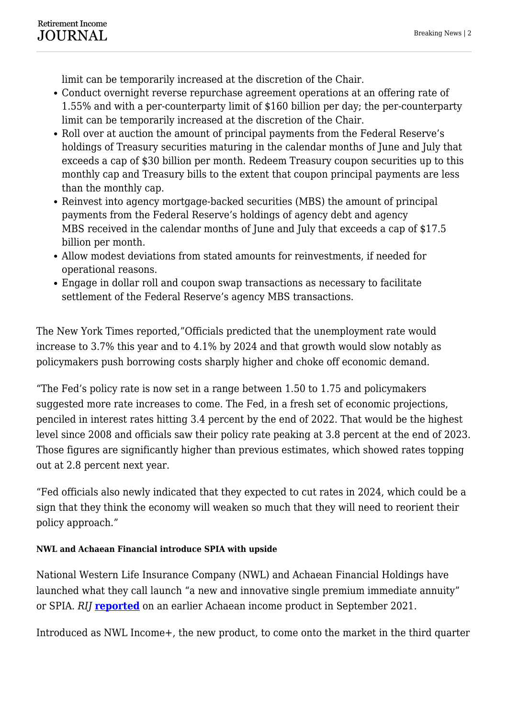limit can be temporarily increased at the discretion of the Chair.

- Conduct overnight reverse repurchase agreement operations at an offering rate of 1.55% and with a per-counterparty limit of \$160 billion per day; the per-counterparty limit can be temporarily increased at the discretion of the Chair.
- Roll over at auction the amount of principal payments from the Federal Reserve's holdings of Treasury securities maturing in the calendar months of June and July that exceeds a cap of \$30 billion per month. Redeem Treasury coupon securities up to this monthly cap and Treasury bills to the extent that coupon principal payments are less than the monthly cap.
- Reinvest into agency mortgage-backed securities (MBS) the amount of principal payments from the Federal Reserve's holdings of agency debt and agency MBS received in the calendar months of June and July that exceeds a cap of \$17.5 billion per month.
- Allow modest deviations from stated amounts for reinvestments, if needed for operational reasons.
- Engage in dollar roll and coupon swap transactions as necessary to facilitate settlement of the Federal Reserve's agency MBS transactions.

The New York Times reported,"Officials predicted that the unemployment rate would increase to 3.7% this year and to 4.1% by 2024 and that growth would slow notably as policymakers push borrowing costs sharply higher and choke off economic demand.

"The Fed's policy rate is now set in a range between 1.50 to 1.75 and policymakers suggested more rate increases to come. The Fed, in a fresh set of economic projections, penciled in interest rates hitting 3.4 percent by the end of 2022. That would be the highest level since 2008 and officials saw their policy rate peaking at 3.8 percent at the end of 2023. Those figures are significantly higher than previous estimates, which showed rates topping out at 2.8 percent next year.

"Fed officials also newly indicated that they expected to cut rates in 2024, which could be a sign that they think the economy will weaken so much that they will need to reorient their policy approach."

## **NWL and Achaean Financial introduce SPIA with upside**

National Western Life Insurance Company (NWL) and Achaean Financial Holdings have launched what they call launch "a new and innovative single premium immediate annuity" or SPIA. *RIJ* **[reported](https://retirementincomejournal.com/article/a-new-path-to-inflation-adjusted-lifetime-income/)** on an earlier Achaean income product in September 2021.

Introduced as NWL Income+, the new product, to come onto the market in the third quarter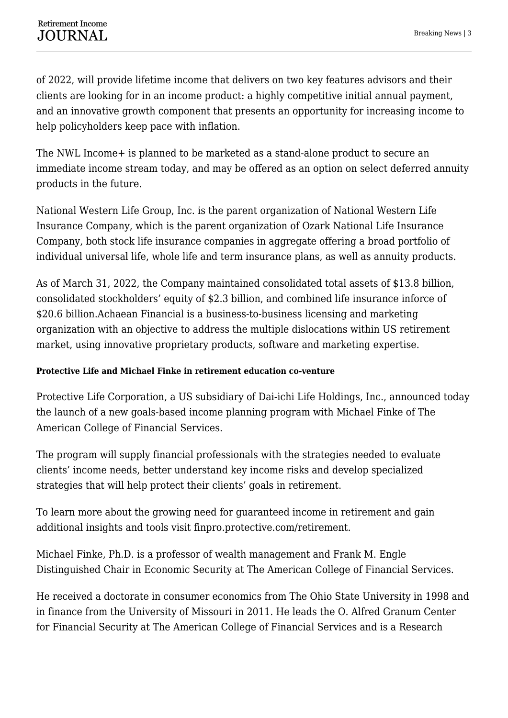of 2022, will provide lifetime income that delivers on two key features advisors and their clients are looking for in an income product: a highly competitive initial annual payment, and an innovative growth component that presents an opportunity for increasing income to help policyholders keep pace with inflation.

The NWL Income+ is planned to be marketed as a stand-alone product to secure an immediate income stream today, and may be offered as an option on select deferred annuity products in the future.

National Western Life Group, Inc. is the parent organization of National Western Life Insurance Company, which is the parent organization of Ozark National Life Insurance Company, both stock life insurance companies in aggregate offering a broad portfolio of individual universal life, whole life and term insurance plans, as well as annuity products.

As of March 31, 2022, the Company maintained consolidated total assets of \$13.8 billion, consolidated stockholders' equity of \$2.3 billion, and combined life insurance inforce of \$20.6 billion.Achaean Financial is a business-to-business licensing and marketing organization with an objective to address the multiple dislocations within US retirement market, using innovative proprietary products, software and marketing expertise.

#### **Protective Life and Michael Finke in retirement education co-venture**

Protective Life Corporation, a US subsidiary of Dai-ichi Life Holdings, Inc., announced today the launch of a new goals-based income planning program with Michael Finke of The American College of Financial Services.

The program will supply financial professionals with the strategies needed to evaluate clients' income needs, better understand key income risks and develop specialized strategies that will help protect their clients' goals in retirement.

To learn more about the growing need for guaranteed income in retirement and gain additional insights and tools visit finpro.protective.com/retirement.

Michael Finke, Ph.D. is a professor of wealth management and Frank M. Engle Distinguished Chair in Economic Security at The American College of Financial Services.

He received a doctorate in consumer economics from The Ohio State University in 1998 and in finance from the University of Missouri in 2011. He leads the O. Alfred Granum Center for Financial Security at The American College of Financial Services and is a Research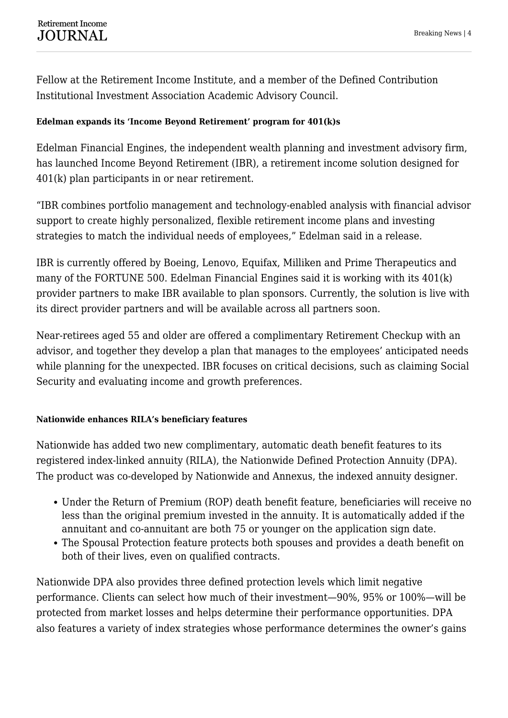Fellow at the Retirement Income Institute, and a member of the Defined Contribution Institutional Investment Association Academic Advisory Council.

#### **Edelman expands its 'Income Beyond Retirement' program for 401(k)s**

Edelman Financial Engines, the independent wealth planning and investment advisory firm, has launched Income Beyond Retirement (IBR), a retirement income solution designed for 401(k) plan participants in or near retirement.

"IBR combines portfolio management and technology-enabled analysis with financial advisor support to create highly personalized, flexible retirement income plans and investing strategies to match the individual needs of employees," Edelman said in a release.

IBR is currently offered by Boeing, Lenovo, Equifax, Milliken and Prime Therapeutics and many of the FORTUNE 500. Edelman Financial Engines said it is working with its 401(k) provider partners to make IBR available to plan sponsors. Currently, the solution is live with its direct provider partners and will be available across all partners soon.

Near-retirees aged 55 and older are offered a complimentary Retirement Checkup with an advisor, and together they develop a plan that manages to the employees' anticipated needs while planning for the unexpected. IBR focuses on critical decisions, such as claiming Social Security and evaluating income and growth preferences.

#### **Nationwide enhances RILA's beneficiary features**

Nationwide has added two new complimentary, automatic death benefit features to its registered index-linked annuity (RILA), the Nationwide Defined Protection Annuity (DPA). The product was co-developed by Nationwide and Annexus, the indexed annuity designer.

- Under the Return of Premium (ROP) death benefit feature, beneficiaries will receive no less than the original premium invested in the annuity. It is automatically added if the annuitant and co-annuitant are both 75 or younger on the application sign date.
- The Spousal Protection feature protects both spouses and provides a death benefit on both of their lives, even on qualified contracts.

Nationwide DPA also provides three defined protection levels which limit negative performance. Clients can select how much of their investment—90%, 95% or 100%—will be protected from market losses and helps determine their performance opportunities. DPA also features a variety of index strategies whose performance determines the owner's gains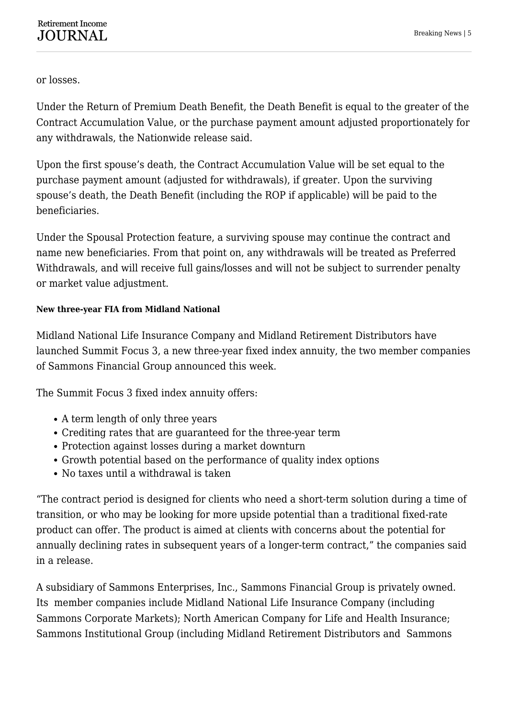or losses.

Under the Return of Premium Death Benefit, the Death Benefit is equal to the greater of the Contract Accumulation Value, or the purchase payment amount adjusted proportionately for any withdrawals, the Nationwide release said.

Upon the first spouse's death, the Contract Accumulation Value will be set equal to the purchase payment amount (adjusted for withdrawals), if greater. Upon the surviving spouse's death, the Death Benefit (including the ROP if applicable) will be paid to the beneficiaries.

Under the Spousal Protection feature, a surviving spouse may continue the contract and name new beneficiaries. From that point on, any withdrawals will be treated as Preferred Withdrawals, and will receive full gains/losses and will not be subject to surrender penalty or market value adjustment.

### **New three-year FIA from Midland National**

Midland National Life Insurance Company and Midland Retirement Distributors have launched Summit Focus 3, a new three-year fixed index annuity, the two member companies of Sammons Financial Group announced this week.

The Summit Focus 3 fixed index annuity offers:

- A term length of only three years
- Crediting rates that are guaranteed for the three-year term
- Protection against losses during a market downturn
- Growth potential based on the performance of quality index options
- No taxes until a withdrawal is taken

"The contract period is designed for clients who need a short-term solution during a time of transition, or who may be looking for more upside potential than a traditional fixed-rate product can offer. The product is aimed at clients with concerns about the potential for annually declining rates in subsequent years of a longer-term contract," the companies said in a release.

A subsidiary of Sammons Enterprises, Inc., Sammons Financial Group is privately owned. Its member companies include Midland National Life Insurance Company (including Sammons Corporate Markets); North American Company for Life and Health Insurance; Sammons Institutional Group (including Midland Retirement Distributors and Sammons